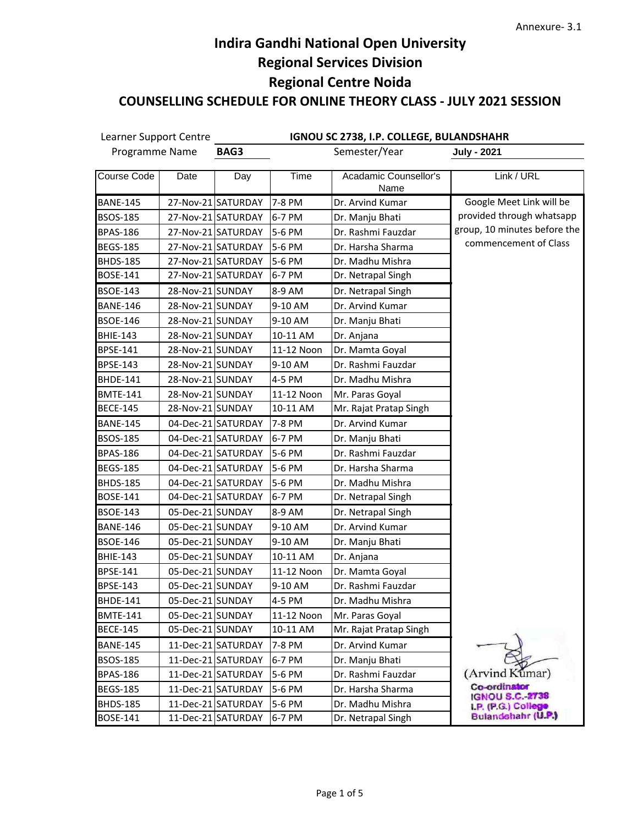Learner Support Centre **IGNOU SC 2738, I.P. COLLEGE, BULANDSHAHR BAG3** Semester/Year **July - 2021** Programme Name Course Code | Date | Day | Time | Acadamic Counsellor's Link / URL Name BANE-145 | 27-Nov-21 SATURDAY 7-8 PM | Dr. Arvind Kumar Google Meet Link will be provided through whatsapp BSOS-185 | 27-Nov-21 SATURDAY 6-7 PM | Dr. Manju Bhati group, 10 minutes before the BPAS-186 | 27-Nov-21 SATURDAY 5-6 PM | Dr. Rashmi Fauzdar commencement of Class BEGS-185 27-Nov-21 SATURDAY 5-6 PM Dr. Harsha Sharma BHDS-185 27-Nov-21 SATURDAY 5-6 PM Dr. Madhu Mishra BOSE-141 | 27-Nov-21 SATURDAY 6-7 PM | Dr. Netrapal Singh BSOE-143 | 28-Nov-21 SUNDAY | 8-9 AM | Dr. Netrapal Singh BANE-146 | 28-Nov-21 SUNDAY | 9-10 AM | Dr. Arvind Kumar BSOE-146 | 28-Nov-21 SUNDAY | 9-10 AM | Dr. Manju Bhati BHIE-143 | 28-Nov-21 SUNDAY | 10-11 AM | Dr. Anjana BPSE-141 | 28-Nov-21 SUNDAY | 11-12 Noon | Dr. Mamta Goyal BPSE-143 | 28-Nov-21 SUNDAY | 9-10 AM | Dr. Rashmi Fauzdar BHDE-141 | 28-Nov-21 SUNDAY | 4-5 PM | Dr. Madhu Mishra BMTE-141 | 28-Nov-21 SUNDAY | 11-12 Noon | Mr. Paras Goyal BECE-145 | 28-Nov-21 SUNDAY | 10-11 AM | Mr. Rajat Pratap Singh BANE-145 | 04-Dec-21 SATURDAY 7-8 PM | Dr. Arvind Kumar BSOS-185 | 04-Dec-21 SATURDAY 6-7 PM | Dr. Manju Bhati BPAS-186 | 04-Dec-21 SATURDAY 5-6 PM | Dr. Rashmi Fauzdar BEGS-185 | 04-Dec-21 SATURDAY 5-6 PM | Dr. Harsha Sharma BHDS-185 | 04-Dec-21 SATURDAY 5-6 PM | Dr. Madhu Mishra BOSE-141 | 04-Dec-21 SATURDAY 6-7 PM | Dr. Netrapal Singh BSOE-143 | 05-Dec-21 SUNDAY | 8-9 AM | Dr. Netrapal Singh BANE-146 | 05-Dec-21 SUNDAY | 9-10 AM | Dr. Arvind Kumar BSOE-146 | 05-Dec-21 SUNDAY | 9-10 AM | Dr. Manju Bhati BHIE-143 | 05-Dec-21 SUNDAY | 10-11 AM | Dr. Anjana BPSE-141 | 05-Dec-21 SUNDAY | 11-12 Noon | Dr. Mamta Goyal BPSE-143 | 05-Dec-21 SUNDAY | 9-10 AM | Dr. Rashmi Fauzdar BHDE-141 | 05-Dec-21 SUNDAY | 4-5 PM | Dr. Madhu Mishra BMTE-141 | 05-Dec-21 SUNDAY | 11-12 Noon | Mr. Paras Goyal BECE-145 | 05-Dec-21 SUNDAY | 10-11 AM | Mr. Rajat Pratap Singh BANE-145 | 11-Dec-21 SATURDAY 7-8 PM | Dr. Arvind Kumar BSOS-185 | 11-Dec-21 SATURDAY 6-7 PM | Dr. Manju Bhati BPAS-186 | 11-Dec-21 SATURDAY 5-6 PM | Dr. Rashmi Fauzdar (Arvind Kumar) Co-ordinator BEGS-185 | 11-Dec-21 SATURDAY 5-6 PM | Dr. Harsha Sharma **IGNOU S.C.-2738** BHDS-185 | 11-Dec-21 SATURDAY 5-6 PM | Dr. Madhu Mishra LP. (P.G.) Colleg Bulandshahr (U.P.) BOSE-141 | 11-Dec-21 SATURDAY 6-7 PM | Dr. Netrapal Singh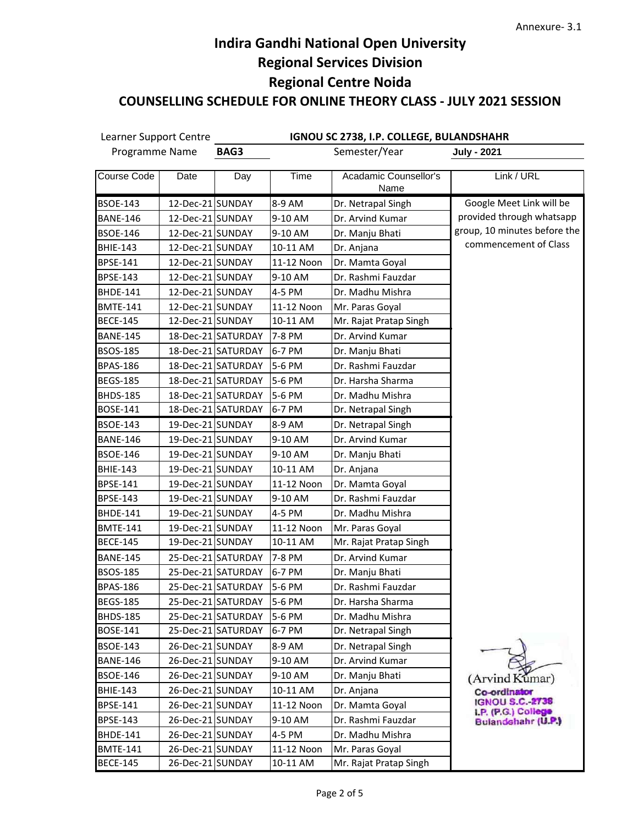| IGNOU SC 2738, I.P. COLLEGE, BULANDSHAHR<br>Learner Support Centre |                  |                    |            |                               |                                                     |
|--------------------------------------------------------------------|------------------|--------------------|------------|-------------------------------|-----------------------------------------------------|
| Programme Name                                                     |                  | BAG3               |            | Semester/Year                 | <b>July - 2021</b>                                  |
| Course Code                                                        | Date             | Day                | Time       | Acadamic Counsellor's<br>Name | Link / URL                                          |
| <b>BSOE-143</b>                                                    | 12-Dec-21 SUNDAY |                    | 8-9 AM     | Dr. Netrapal Singh            | Google Meet Link will be                            |
| <b>BANE-146</b>                                                    | 12-Dec-21 SUNDAY |                    | 9-10 AM    | Dr. Arvind Kumar              | provided through whatsapp                           |
| <b>BSOE-146</b>                                                    | 12-Dec-21 SUNDAY |                    | 9-10 AM    | Dr. Manju Bhati               | group, 10 minutes before the                        |
| <b>BHIE-143</b>                                                    | 12-Dec-21 SUNDAY |                    | 10-11 AM   | Dr. Anjana                    | commencement of Class                               |
| <b>BPSE-141</b>                                                    | 12-Dec-21 SUNDAY |                    | 11-12 Noon | Dr. Mamta Goyal               |                                                     |
| <b>BPSE-143</b>                                                    | 12-Dec-21 SUNDAY |                    | 9-10 AM    | Dr. Rashmi Fauzdar            |                                                     |
| <b>BHDE-141</b>                                                    | 12-Dec-21 SUNDAY |                    | 4-5 PM     | Dr. Madhu Mishra              |                                                     |
| <b>BMTE-141</b>                                                    | 12-Dec-21 SUNDAY |                    | 11-12 Noon | Mr. Paras Goyal               |                                                     |
| <b>BECE-145</b>                                                    | 12-Dec-21 SUNDAY |                    | 10-11 AM   | Mr. Rajat Pratap Singh        |                                                     |
| <b>BANE-145</b>                                                    |                  | 18-Dec-21 SATURDAY | 7-8 PM     | Dr. Arvind Kumar              |                                                     |
| BSOS-185                                                           |                  | 18-Dec-21 SATURDAY | 6-7 PM     | Dr. Manju Bhati               |                                                     |
| <b>BPAS-186</b>                                                    |                  | 18-Dec-21 SATURDAY | 5-6 PM     | Dr. Rashmi Fauzdar            |                                                     |
| <b>BEGS-185</b>                                                    |                  | 18-Dec-21 SATURDAY | 5-6 PM     | Dr. Harsha Sharma             |                                                     |
| <b>BHDS-185</b>                                                    |                  | 18-Dec-21 SATURDAY | 5-6 PM     | Dr. Madhu Mishra              |                                                     |
| BOSE-141                                                           |                  | 18-Dec-21 SATURDAY | 6-7 PM     | Dr. Netrapal Singh            |                                                     |
| <b>BSOE-143</b>                                                    | 19-Dec-21 SUNDAY |                    | 8-9 AM     | Dr. Netrapal Singh            |                                                     |
| <b>BANE-146</b>                                                    | 19-Dec-21 SUNDAY |                    | 9-10 AM    | Dr. Arvind Kumar              |                                                     |
| <b>BSOE-146</b>                                                    | 19-Dec-21 SUNDAY |                    | 9-10 AM    | Dr. Manju Bhati               |                                                     |
| <b>BHIE-143</b>                                                    | 19-Dec-21 SUNDAY |                    | 10-11 AM   | Dr. Anjana                    |                                                     |
| <b>BPSE-141</b>                                                    | 19-Dec-21 SUNDAY |                    | 11-12 Noon | Dr. Mamta Goyal               |                                                     |
| <b>BPSE-143</b>                                                    | 19-Dec-21 SUNDAY |                    | 9-10 AM    | Dr. Rashmi Fauzdar            |                                                     |
| <b>BHDE-141</b>                                                    | 19-Dec-21 SUNDAY |                    | 4-5 PM     | Dr. Madhu Mishra              |                                                     |
| <b>BMTE-141</b>                                                    | 19-Dec-21 SUNDAY |                    | 11-12 Noon | Mr. Paras Goyal               |                                                     |
| <b>BECE-145</b>                                                    | 19-Dec-21 SUNDAY |                    | 10-11 AM   | Mr. Rajat Pratap Singh        |                                                     |
| <b>BANE-145</b>                                                    |                  | 25-Dec-21 SATURDAY | 7-8 PM     | Dr. Arvind Kumar              |                                                     |
| <b>BSOS-185</b>                                                    |                  | 25-Dec-21 SATURDAY | 6-7 PM     | Dr. Manju Bhati               |                                                     |
| <b>BPAS-186</b>                                                    |                  | 25-Dec-21 SATURDAY | 5-6 PM     | Dr. Rashmi Fauzdar            |                                                     |
| <b>BEGS-185</b>                                                    |                  | 25-Dec-21 SATURDAY | 5-6 PM     | Dr. Harsha Sharma             |                                                     |
| <b>BHDS-185</b>                                                    |                  | 25-Dec-21 SATURDAY | 5-6 PM     | Dr. Madhu Mishra              |                                                     |
| BOSE-141                                                           |                  | 25-Dec-21 SATURDAY | 6-7 PM     | Dr. Netrapal Singh            |                                                     |
| <b>BSOE-143</b>                                                    | 26-Dec-21 SUNDAY |                    | 8-9 AM     | Dr. Netrapal Singh            |                                                     |
| <b>BANE-146</b>                                                    | 26-Dec-21 SUNDAY |                    | 9-10 AM    | Dr. Arvind Kumar              |                                                     |
| <b>BSOE-146</b>                                                    | 26-Dec-21 SUNDAY |                    | 9-10 AM    | Dr. Manju Bhati               | (Arvind Kumar)                                      |
| <b>BHIE-143</b>                                                    | 26-Dec-21 SUNDAY |                    | 10-11 AM   | Dr. Anjana                    | Co-ordinator                                        |
| BPSE-141                                                           | 26-Dec-21 SUNDAY |                    | 11-12 Noon | Dr. Mamta Goyal               | <b>IGNOU S.C.-2738</b><br><b>LP.</b> (P.G.) College |
| <b>BPSE-143</b>                                                    | 26-Dec-21 SUNDAY |                    | 9-10 AM    | Dr. Rashmi Fauzdar            | Bulandshahr (U.P.)                                  |
| <b>BHDE-141</b>                                                    | 26-Dec-21 SUNDAY |                    | 4-5 PM     | Dr. Madhu Mishra              |                                                     |
| <b>BMTE-141</b>                                                    | 26-Dec-21 SUNDAY |                    | 11-12 Noon | Mr. Paras Goyal               |                                                     |
| <b>BECE-145</b>                                                    | 26-Dec-21 SUNDAY |                    | 10-11 AM   | Mr. Rajat Pratap Singh        |                                                     |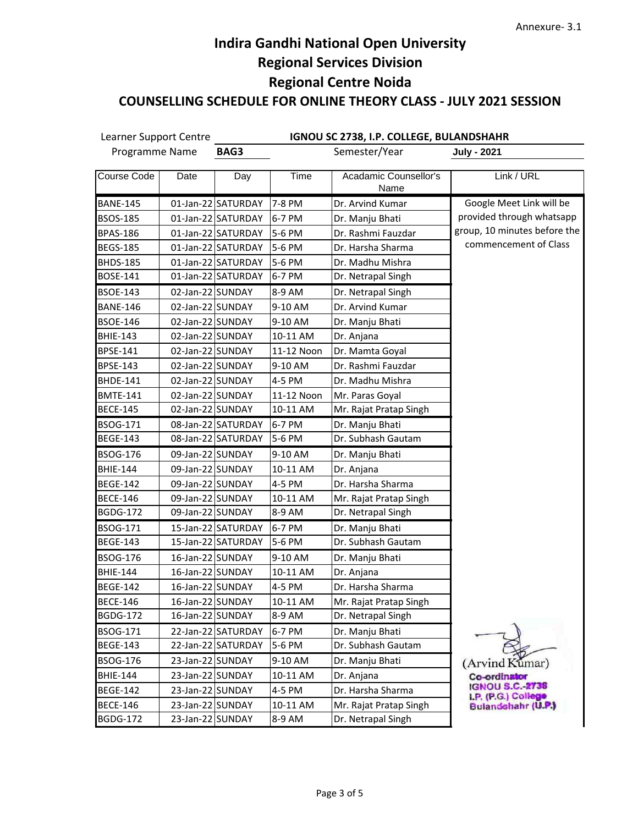Learner Support Centre **IGNOU SC 2738, I.P. COLLEGE, BULANDSHAHR** Programme Name **BAG3** Semester/Year **July - 2021** Course Code | Date | Day | Time | Acadamic Counsellor's Link / URL Name BANE-145 | 01-Jan-22 SATURDAY 7-8 PM | Dr. Arvind Kumar Google Meet Link will be Google Meet Link will be provided through whatsapp provided through whatsapp BSOS-185 | 01-Jan-22 SATURDAY 6-7 PM | Dr. Manju Bhati group, 10 minutes before the group, 10 minutes before the BPAS-186 | 01-Jan-22 SATURDAY 5-6 PM | Dr. Rashmi Fauzdar commencement of Class commencement of Class BEGS-185 | 01-Jan-22 SATURDAY 5-6 PM | Dr. Harsha Sharma BHDS-185 | 01-Jan-22 SATURDAY 5-6 PM | Dr. Madhu Mishra BOSE-141 | 01-Jan-22 SATURDAY 6-7 PM | Dr. Netrapal Singh BSOE-143 | 02-Jan-22 SUNDAY | 8-9 AM | Dr. Netrapal Singh BANE-146 | 02-Jan-22 SUNDAY | 9-10 AM | Dr. Arvind Kumar BSOE-146 | 02-Jan-22 SUNDAY | 9-10 AM | Dr. Manju Bhati BHIE-143 | 02-Jan-22 SUNDAY | 10-11 AM | Dr. Anjana BPSE-141 | 02-Jan-22 SUNDAY | 11-12 Noon | Dr. Mamta Goyal BPSE-143 | 02-Jan-22 SUNDAY | 9-10 AM | Dr. Rashmi Fauzdar BHDE-141 | 02-Jan-22 SUNDAY | 4-5 PM | Dr. Madhu Mishra BMTE-141 | 02-Jan-22 SUNDAY | 11-12 Noon | Mr. Paras Goyal BECE-145 | 02-Jan-22 SUNDAY | 10-11 AM | Mr. Rajat Pratap Singh BSOG-171 | 08-Jan-22 SATURDAY 6-7 PM | Dr. Manju Bhati BEGE-143 | 08-Jan-22 SATURDAY 5-6 PM | Dr. Subhash Gautam BSOG-176 | 09-Jan-22 SUNDAY | 9-10 AM | Dr. Manju Bhati BHIE-144 | 09-Jan-22 SUNDAY | 10-11 AM | Dr. Anjana BEGE-142 | 09-Jan-22 SUNDAY | 4-5 PM | Dr. Harsha Sharma BECE-146 | 09-Jan-22 SUNDAY | 10-11 AM | Mr. Rajat Pratap Singh BGDG-172 | 09-Jan-22 SUNDAY | 8-9 AM | Dr. Netrapal Singh BSOG-171 | 15-Jan-22 SATURDAY 6-7 PM | Dr. Manju Bhati BEGE-143 | 15-Jan-22 SATURDAY 5-6 PM | Dr. Subhash Gautam BSOG-176 | 16-Jan-22 SUNDAY | 9-10 AM | Dr. Manju Bhati BHIE-144 | 16-Jan-22 SUNDAY | 10-11 AM | Dr. Anjana BEGE-142 | 16-Jan-22 SUNDAY | 4-5 PM | Dr. Harsha Sharma BECE-146 | 16-Jan-22 SUNDAY | 10-11 AM | Mr. Rajat Pratap Singh BGDG-172 | 16-Jan-22 SUNDAY | 8-9 AM | Dr. Netrapal Singh BSOG-171 | 22-Jan-22 SATURDAY | 6-7 PM | Dr. Manju Bhati BEGE-143 | 22-Jan-22 SATURDAY 5-6 PM | Dr. Subhash Gautam BSOG-176 | 23-Jan-22 SUNDAY | 9-10 AM | Dr. Manju Bhati (Arvind Kumar) BHIE-144 | 23-Jan-22 SUNDAY | 10-11 AM | Dr. Anjana Co-ordinator **IGNOU S.C.-2738** BEGE-142 | 23-Jan-22 SUNDAY | 4-5 PM | Dr. Harsha Sharma LP. (P.G.) College Bulandshahr (U.P.) BECE-146 | 23-Jan-22 SUNDAY | 10-11 AM | Mr. Rajat Pratap Singh BGDG-172 | 23-Jan-22 SUNDAY | 8-9 AM | Dr. Netrapal Singh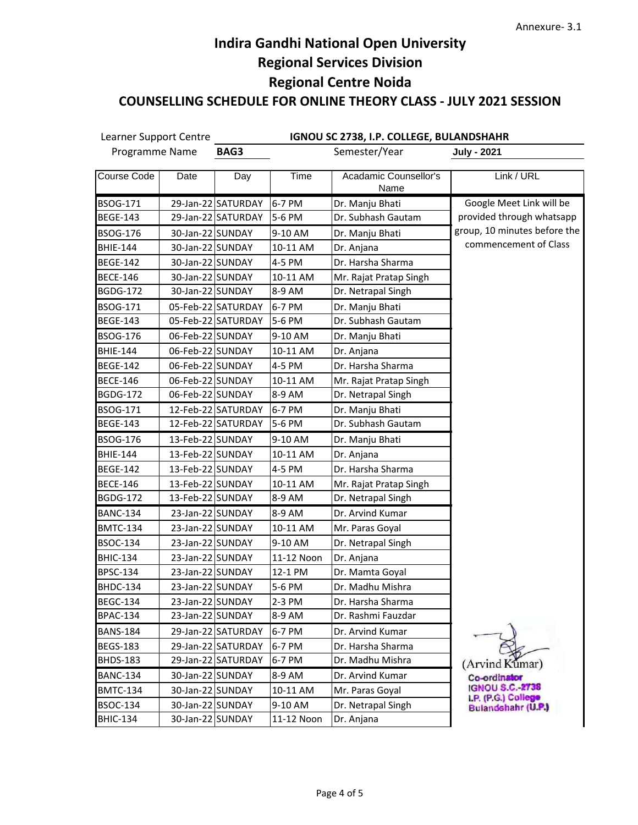| Learner Support Centre<br>Programme Name |                  | IGNOU SC 2738, I.P. COLLEGE, BULANDSHAHR |            |                               |                                              |  |  |
|------------------------------------------|------------------|------------------------------------------|------------|-------------------------------|----------------------------------------------|--|--|
|                                          |                  | BAG3                                     |            | Semester/Year                 | <b>July - 2021</b>                           |  |  |
| Course Code                              | Date             | Day                                      | Time       | Acadamic Counsellor's<br>Name | Link / URL                                   |  |  |
| <b>BSOG-171</b>                          |                  | 29-Jan-22 SATURDAY                       | 6-7 PM     | Dr. Manju Bhati               | Google Meet Link will be                     |  |  |
| <b>BEGE-143</b>                          |                  | 29-Jan-22 SATURDAY                       | 5-6 PM     | Dr. Subhash Gautam            | provided through whatsapp                    |  |  |
| <b>BSOG-176</b>                          | 30-Jan-22 SUNDAY |                                          | 9-10 AM    | Dr. Manju Bhati               | group, 10 minutes before the                 |  |  |
| <b>BHIE-144</b>                          | 30-Jan-22 SUNDAY |                                          | 10-11 AM   | Dr. Anjana                    | commencement of Class                        |  |  |
| <b>BEGE-142</b>                          | 30-Jan-22 SUNDAY |                                          | 4-5 PM     | Dr. Harsha Sharma             |                                              |  |  |
| <b>BECE-146</b>                          | 30-Jan-22 SUNDAY |                                          | 10-11 AM   | Mr. Rajat Pratap Singh        |                                              |  |  |
| <b>BGDG-172</b>                          | 30-Jan-22 SUNDAY |                                          | 8-9 AM     | Dr. Netrapal Singh            |                                              |  |  |
| BSOG-171                                 |                  | 05-Feb-22 SATURDAY                       | 6-7 PM     | Dr. Manju Bhati               |                                              |  |  |
| <b>BEGE-143</b>                          |                  | 05-Feb-22 SATURDAY                       | 5-6 PM     | Dr. Subhash Gautam            |                                              |  |  |
| <b>BSOG-176</b>                          | 06-Feb-22 SUNDAY |                                          | 9-10 AM    | Dr. Manju Bhati               |                                              |  |  |
| <b>BHIE-144</b>                          | 06-Feb-22 SUNDAY |                                          | 10-11 AM   | Dr. Anjana                    |                                              |  |  |
| <b>BEGE-142</b>                          | 06-Feb-22 SUNDAY |                                          | 4-5 PM     | Dr. Harsha Sharma             |                                              |  |  |
| <b>BECE-146</b>                          | 06-Feb-22 SUNDAY |                                          | 10-11 AM   | Mr. Rajat Pratap Singh        |                                              |  |  |
| <b>BGDG-172</b>                          | 06-Feb-22 SUNDAY |                                          | 8-9 AM     | Dr. Netrapal Singh            |                                              |  |  |
| BSOG-171                                 |                  | 12-Feb-22 SATURDAY                       | 6-7 PM     | Dr. Manju Bhati               |                                              |  |  |
| <b>BEGE-143</b>                          |                  | 12-Feb-22 SATURDAY                       | 5-6 PM     | Dr. Subhash Gautam            |                                              |  |  |
| <b>BSOG-176</b>                          | 13-Feb-22 SUNDAY |                                          | 9-10 AM    | Dr. Manju Bhati               |                                              |  |  |
| <b>BHIE-144</b>                          | 13-Feb-22 SUNDAY |                                          | 10-11 AM   | Dr. Anjana                    |                                              |  |  |
| <b>BEGE-142</b>                          | 13-Feb-22 SUNDAY |                                          | 4-5 PM     | Dr. Harsha Sharma             |                                              |  |  |
| <b>BECE-146</b>                          | 13-Feb-22 SUNDAY |                                          | 10-11 AM   | Mr. Rajat Pratap Singh        |                                              |  |  |
| <b>BGDG-172</b>                          | 13-Feb-22 SUNDAY |                                          | 8-9 AM     | Dr. Netrapal Singh            |                                              |  |  |
| <b>BANC-134</b>                          | 23-Jan-22 SUNDAY |                                          | 8-9 AM     | Dr. Arvind Kumar              |                                              |  |  |
| <b>BMTC-134</b>                          | 23-Jan-22 SUNDAY |                                          | 10-11 AM   | Mr. Paras Goyal               |                                              |  |  |
| <b>BSOC-134</b>                          | 23-Jan-22 SUNDAY |                                          | 9-10 AM    | Dr. Netrapal Singh            |                                              |  |  |
| <b>BHIC-134</b>                          | 23-Jan-22 SUNDAY |                                          | 11-12 Noon | Dr. Anjana                    |                                              |  |  |
| <b>BPSC-134</b>                          | 23-Jan-22 SUNDAY |                                          | 12-1 PM    | Dr. Mamta Goyal               |                                              |  |  |
| <b>BHDC-134</b>                          | 23-Jan-22 SUNDAY |                                          | 5-6 PM     | Dr. Madhu Mishra              |                                              |  |  |
| <b>BEGC-134</b>                          | 23-Jan-22 SUNDAY |                                          | 2-3 PM     | Dr. Harsha Sharma             |                                              |  |  |
| <b>BPAC-134</b>                          | 23-Jan-22 SUNDAY |                                          | 8-9 AM     | Dr. Rashmi Fauzdar            |                                              |  |  |
| <b>BANS-184</b>                          |                  | 29-Jan-22 SATURDAY                       | 6-7 PM     | Dr. Arvind Kumar              |                                              |  |  |
| <b>BEGS-183</b>                          |                  | 29-Jan-22 SATURDAY                       | 6-7 PM     | Dr. Harsha Sharma             |                                              |  |  |
| <b>BHDS-183</b>                          |                  | 29-Jan-22 SATURDAY                       | 6-7 PM     | Dr. Madhu Mishra              | (Arvind Kumar)                               |  |  |
| <b>BANC-134</b>                          | 30-Jan-22 SUNDAY |                                          | 8-9 AM     | Dr. Arvind Kumar              | Co-ordinator                                 |  |  |
| <b>BMTC-134</b>                          | 30-Jan-22 SUNDAY |                                          | 10-11 AM   | Mr. Paras Goyal               | <b>IGNOU S.C.-2738</b><br>LP. (P.G.) College |  |  |
| BSOC-134                                 | 30-Jan-22 SUNDAY |                                          | 9-10 AM    | Dr. Netrapal Singh            | Bulandshahr (U.P.)                           |  |  |
| <b>BHIC-134</b>                          | 30-Jan-22 SUNDAY |                                          | 11-12 Noon | Dr. Anjana                    |                                              |  |  |